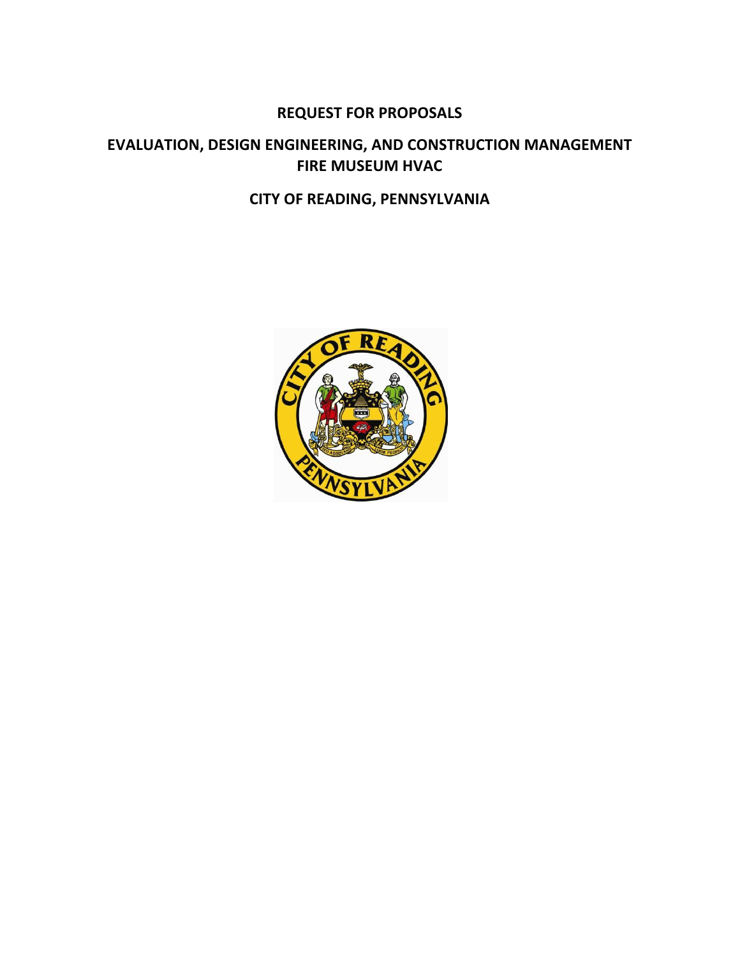# **REQUEST FOR PROPOSALS**

# **EVALUATION, DESIGN ENGINEERING, AND CONSTRUCTION MANAGEMENT FIRE MUSEUM HVAC**

# **CITY OF READING, PENNSYLVANIA**

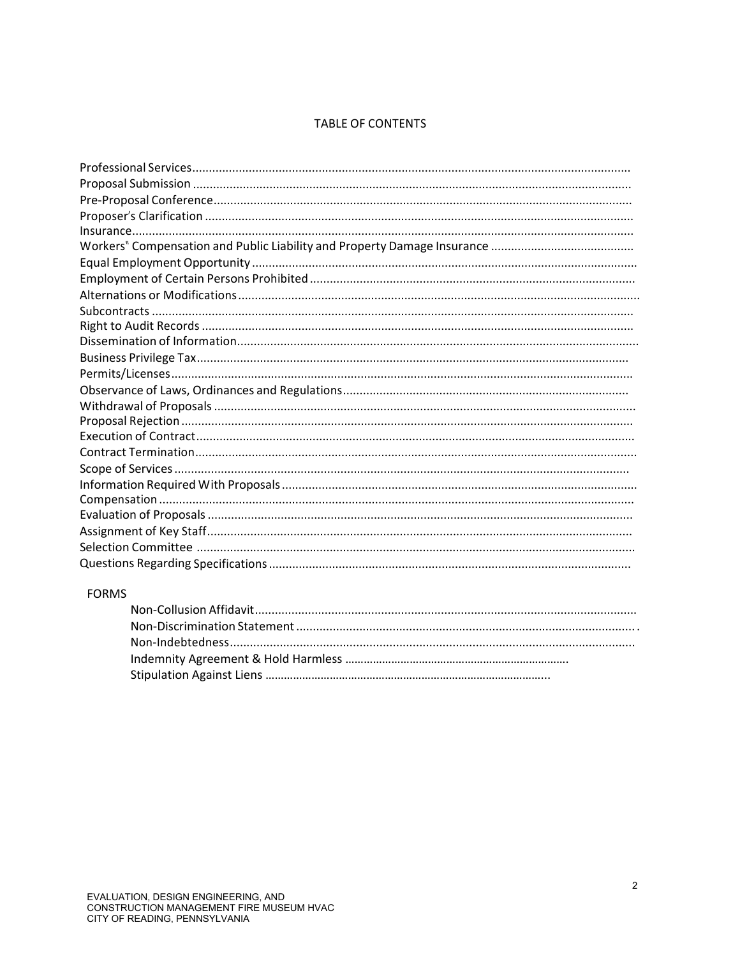# **TABLE OF CONTENTS**

# **FORMS**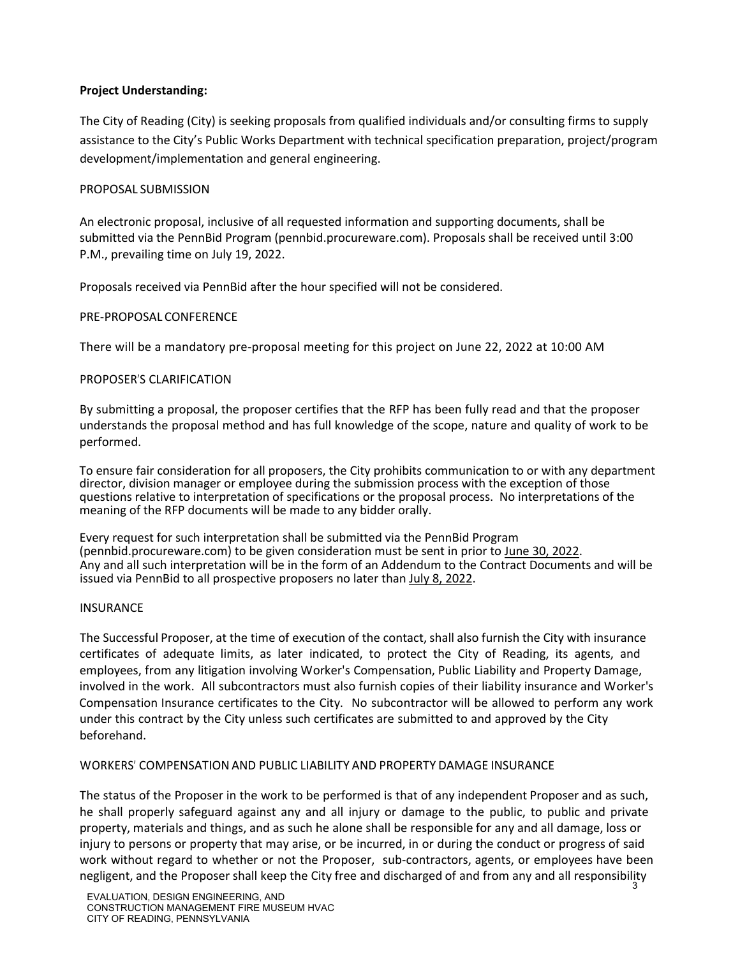## **Project Understanding:**

The City of Reading (City) is seeking proposals from qualified individuals and/or consulting firms to supply assistance to the City's Public Works Department with technical specification preparation, project/program development/implementation and general engineering.

# PROPOSAL SUBMISSION

An electronic proposal, inclusive of all requested information and supporting documents, shall be submitted via the PennBid Program (pennbid.procureware.com). Proposals shall be received until 3:00 P.M., prevailing time on July 19, 2022.

Proposals received via PennBid after the hour specified will not be considered.

## PRE-PROPOSAL CONFERENCE

There will be a mandatory pre-proposal meeting for this project on June 22, 2022 at 10:00 AM

# PROPOSER'S CLARIFICATION

By submitting a proposal, the proposer certifies that the RFP has been fully read and that the proposer understands the proposal method and has full knowledge of the scope, nature and quality of work to be performed.

To ensure fair consideration for all proposers, the City prohibits communication to or with any department director, division manager or employee during the submission process with the exception of those questions relative to interpretation of specifications or the proposal process. No interpretations of the meaning of the RFP documents will be made to any bidder orally.

Every request for such interpretation shall be submitted via the PennBid Program (pennbid.procureware.com) to be given consideration must be sent in prior to June 30, 2022. Any and all such interpretation will be in the form of an Addendum to the Contract Documents and will be issued via PennBid to all prospective proposers no later than July 8, 2022.

## **INSURANCE**

The Successful Proposer, at the time of execution of the contact, shall also furnish the City with insurance certificates of adequate limits, as later indicated, to protect the City of Reading, its agents, and employees, from any litigation involving Worker's Compensation, Public Liability and Property Damage, involved in the work. All subcontractors must also furnish copies of their liability insurance and Worker's Compensation Insurance certificates to the City. No subcontractor will be allowed to perform any work under this contract by the City unless such certificates are submitted to and approved by the City beforehand.

## WORKERS' COMPENSATIONAND PUBLIC LIABILITY AND PROPERTY DAMAGE INSURANCE

negligent, and the Proposer shall keep the City free and discharged of and from any and all responsibility  $\frac{3}{3}$ The status of the Proposer in the work to be performed is that of any independent Proposer and as such, he shall properly safeguard against any and all injury or damage to the public, to public and private property, materials and things, and as such he alone shall be responsible for any and all damage, loss or injury to persons or property that may arise, or be incurred, in or during the conduct or progress of said work without regard to whether or not the Proposer, sub-contractors, agents, or employees have been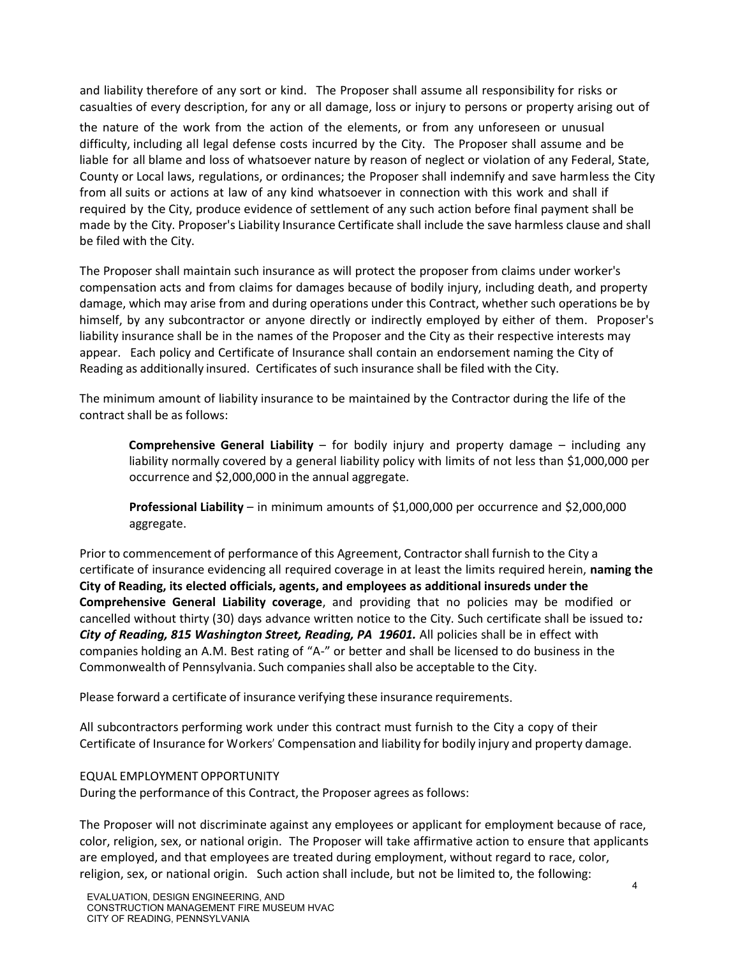and liability therefore of any sort or kind. The Proposer shall assume all responsibility for risks or casualties of every description, for any or all damage, loss or injury to persons or property arising out of

the nature of the work from the action of the elements, or from any unforeseen or unusual difficulty, including all legal defense costs incurred by the City. The Proposer shall assume and be liable for all blame and loss of whatsoever nature by reason of neglect or violation of any Federal, State, County or Local laws, regulations, or ordinances; the Proposer shall indemnify and save harmless the City from all suits or actions at law of any kind whatsoever in connection with this work and shall if required by the City, produce evidence of settlement of any such action before final payment shall be made by the City. Proposer's Liability Insurance Certificate shall include the save harmless clause and shall be filed with the City.

The Proposer shall maintain such insurance as will protect the proposer from claims under worker's compensation acts and from claims for damages because of bodily injury, including death, and property damage, which may arise from and during operations under this Contract, whether such operations be by himself, by any subcontractor or anyone directly or indirectly employed by either of them. Proposer's liability insurance shall be in the names of the Proposer and the City as their respective interests may appear. Each policy and Certificate of Insurance shall contain an endorsement naming the City of Reading as additionally insured. Certificates of such insurance shall be filed with the City.

The minimum amount of liability insurance to be maintained by the Contractor during the life of the contract shall be as follows:

**Comprehensive General Liability** – for bodily injury and property damage – including any liability normally covered by a general liability policy with limits of not less than \$1,000,000 per occurrence and \$2,000,000 in the annual aggregate.

**Professional Liability** – in minimum amounts of \$1,000,000 per occurrence and \$2,000,000 aggregate.

Prior to commencement of performance of this Agreement, Contractorshall furnish to the City a certificate of insurance evidencing all required coverage in at least the limits required herein, **naming the City of Reading, its elected officials, agents, and employees as additional insureds under the Comprehensive General Liability coverage**, and providing that no policies may be modified or cancelled without thirty (30) days advance written notice to the City. Such certificate shall be issued to*: City of Reading, 815 Washington Street, Reading, PA 19601.* All policies shall be in effect with companies holding an A.M. Best rating of "A-" or better and shall be licensed to do business in the Commonwealth of Pennsylvania. Such companiesshall also be acceptable to the City.

Please forward a certificate of insurance verifying these insurance requirements.

All subcontractors performing work under this contract must furnish to the City a copy of their Certificate of Insurance for Workers' Compensation and liability for bodily injury and property damage.

## EQUAL EMPLOYMENT OPPORTUNITY

During the performance of this Contract, the Proposer agrees as follows:

The Proposer will not discriminate against any employees or applicant for employment because of race, color, religion, sex, or national origin. The Proposer will take affirmative action to ensure that applicants are employed, and that employees are treated during employment, without regard to race, color, religion, sex, or national origin. Such action shall include, but not be limited to, the following: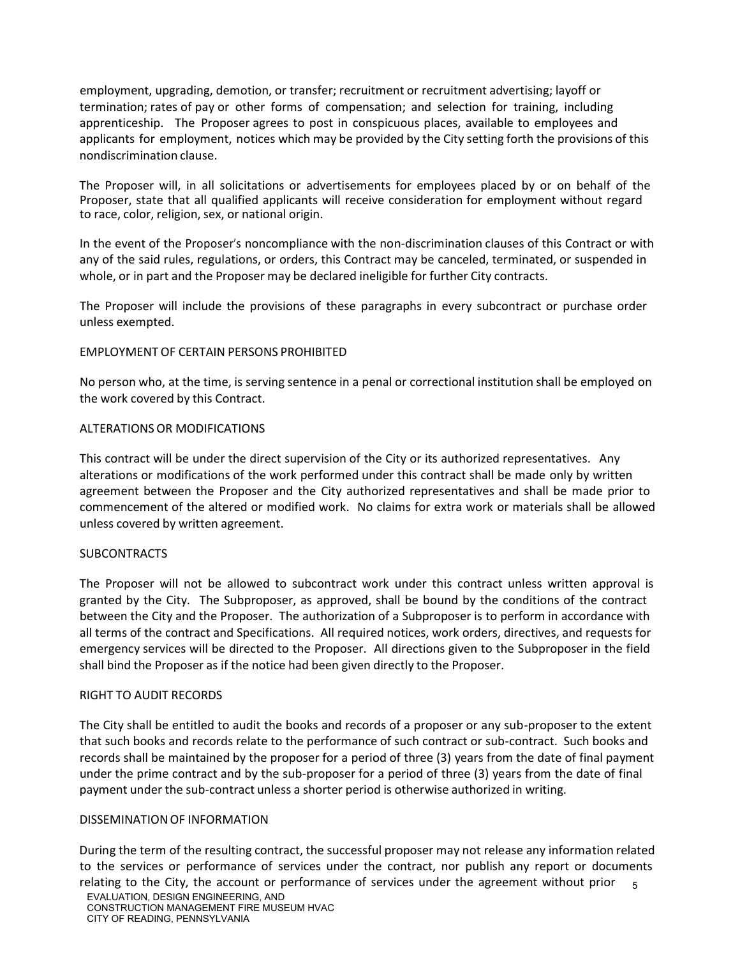employment, upgrading, demotion, or transfer; recruitment or recruitment advertising; layoff or termination; rates of pay or other forms of compensation; and selection for training, including apprenticeship. The Proposer agrees to post in conspicuous places, available to employees and applicants for employment, notices which may be provided by the City setting forth the provisions of this nondiscrimination clause.

The Proposer will, in all solicitations or advertisements for employees placed by or on behalf of the Proposer, state that all qualified applicants will receive consideration for employment without regard to race, color, religion, sex, or national origin.

In the event of the Proposer's noncompliance with the non-discrimination clauses of this Contract or with any of the said rules, regulations, or orders, this Contract may be canceled, terminated, or suspended in whole, or in part and the Proposer may be declared ineligible for further City contracts.

The Proposer will include the provisions of these paragraphs in every subcontract or purchase order unless exempted.

## EMPLOYMENT OF CERTAIN PERSONS PROHIBITED

No person who, at the time, is serving sentence in a penal or correctional institution shall be employed on the work covered by this Contract.

## ALTERATIONS OR MODIFICATIONS

This contract will be under the direct supervision of the City or its authorized representatives. Any alterations or modifications of the work performed under this contract shall be made only by written agreement between the Proposer and the City authorized representatives and shall be made prior to commencement of the altered or modified work. No claims for extra work or materials shall be allowed unless covered by written agreement.

#### SUBCONTRACTS

The Proposer will not be allowed to subcontract work under this contract unless written approval is granted by the City. The Subproposer, as approved, shall be bound by the conditions of the contract between the City and the Proposer. The authorization of a Subproposer is to perform in accordance with all terms of the contract and Specifications. All required notices, work orders, directives, and requests for emergency services will be directed to the Proposer. All directions given to the Subproposer in the field shall bind the Proposer as if the notice had been given directly to the Proposer.

#### RIGHT TO AUDIT RECORDS

The City shall be entitled to audit the books and records of a proposer or any sub-proposer to the extent that such books and records relate to the performance of such contract or sub-contract. Such books and records shall be maintained by the proposer for a period of three (3) years from the date of final payment under the prime contract and by the sub-proposer for a period of three (3) years from the date of final payment under the sub-contract unless a shorter period is otherwise authorized in writing.

#### DISSEMINATION OF INFORMATION

relating to the City, the account or performance of services under the agreement without prior  $5$ During the term of the resulting contract, the successful proposer may not release any information related to the services or performance of services under the contract, nor publish any report or documents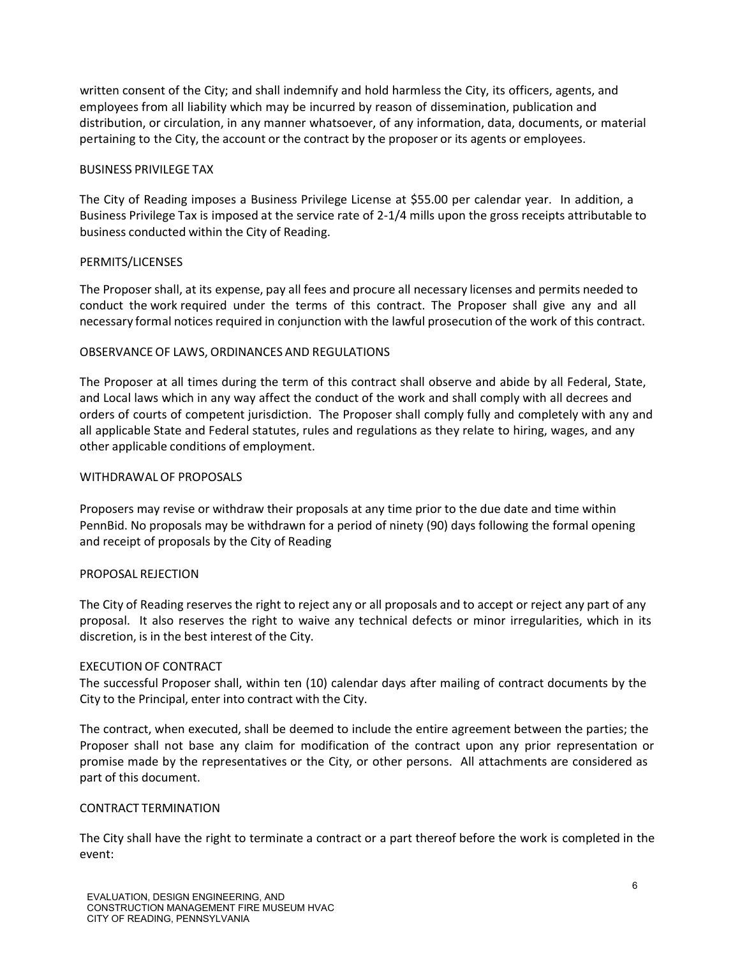written consent of the City; and shall indemnify and hold harmless the City, its officers, agents, and employees from all liability which may be incurred by reason of dissemination, publication and distribution, or circulation, in any manner whatsoever, of any information, data, documents, or material pertaining to the City, the account or the contract by the proposer or its agents or employees.

## BUSINESS PRIVILEGE TAX

The City of Reading imposes a Business Privilege License at \$55.00 per calendar year. In addition, a Business Privilege Tax is imposed at the service rate of 2-1/4 mills upon the gross receipts attributable to business conducted within the City of Reading.

## PERMITS/LICENSES

The Proposer shall, at its expense, pay all fees and procure all necessary licenses and permits needed to conduct the work required under the terms of this contract. The Proposer shall give any and all necessary formal notices required in conjunction with the lawful prosecution of the work of this contract.

## OBSERVANCE OF LAWS, ORDINANCES AND REGULATIONS

The Proposer at all times during the term of this contract shall observe and abide by all Federal, State, and Local laws which in any way affect the conduct of the work and shall comply with all decrees and orders of courts of competent jurisdiction. The Proposer shall comply fully and completely with any and all applicable State and Federal statutes, rules and regulations as they relate to hiring, wages, and any other applicable conditions of employment.

### WITHDRAWALOF PROPOSALS

Proposers may revise or withdraw their proposals at any time prior to the due date and time within PennBid. No proposals may be withdrawn for a period of ninety (90) days following the formal opening and receipt of proposals by the City of Reading

#### PROPOSAL REJECTION

The City of Reading reserves the right to reject any or all proposals and to accept or reject any part of any proposal. It also reserves the right to waive any technical defects or minor irregularities, which in its discretion, is in the best interest of the City.

#### EXECUTION OF CONTRACT

The successful Proposer shall, within ten (10) calendar days after mailing of contract documents by the City to the Principal, enter into contract with the City.

The contract, when executed, shall be deemed to include the entire agreement between the parties; the Proposer shall not base any claim for modification of the contract upon any prior representation or promise made by the representatives or the City, or other persons. All attachments are considered as part of this document.

#### CONTRACT TERMINATION

The City shall have the right to terminate a contract or a part thereof before the work is completed in the event: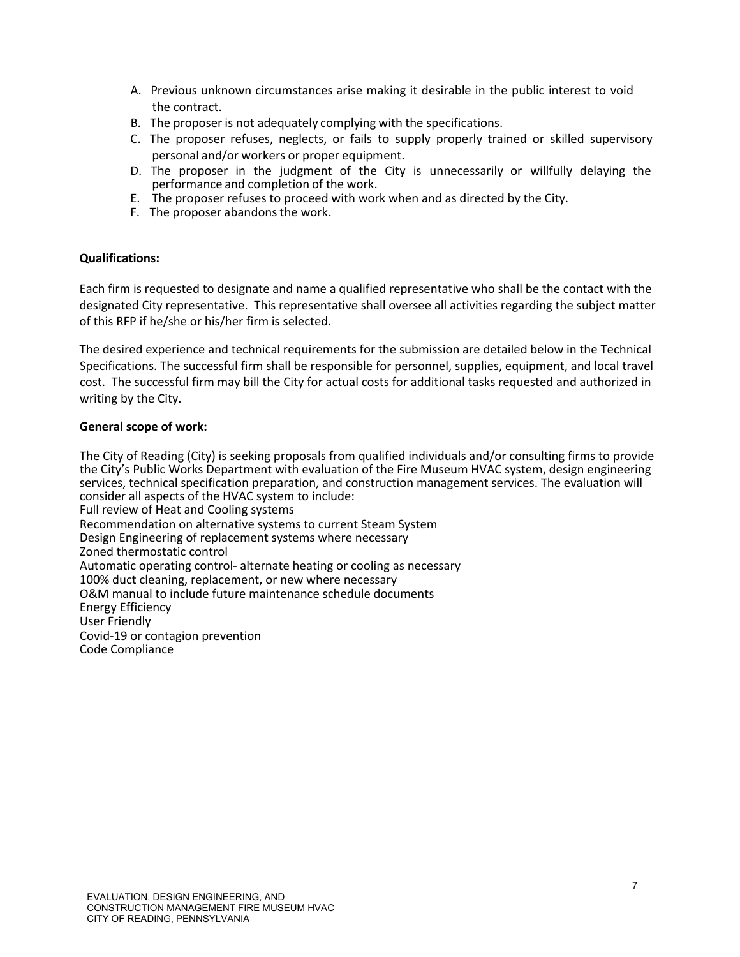- A. Previous unknown circumstances arise making it desirable in the public interest to void the contract.
- B. The proposer is not adequately complying with the specifications.
- C. The proposer refuses, neglects, or fails to supply properly trained or skilled supervisory personal and/or workers or proper equipment.
- D. The proposer in the judgment of the City is unnecessarily or willfully delaying the performance and completion of the work.
- E. The proposer refuses to proceed with work when and as directed by the City.
- F. The proposer abandons the work.

## **Qualifications:**

Each firm is requested to designate and name a qualified representative who shall be the contact with the designated City representative. This representative shall oversee all activities regarding the subject matter of this RFP if he/she or his/her firm is selected.

The desired experience and technical requirements for the submission are detailed below in the Technical Specifications. The successful firm shall be responsible for personnel, supplies, equipment, and local travel cost. The successful firm may bill the City for actual costs for additional tasks requested and authorized in writing by the City.

## **General scope of work:**

The City of Reading (City) is seeking proposals from qualified individuals and/or consulting firms to provide the City's Public Works Department with evaluation of the Fire Museum HVAC system, design engineering services, technical specification preparation, and construction management services. The evaluation will consider all aspects of the HVAC system to include: Full review of Heat and Cooling systems Recommendation on alternative systems to current Steam System Design Engineering of replacement systems where necessary Zoned thermostatic control Automatic operating control- alternate heating or cooling as necessary 100% duct cleaning, replacement, or new where necessary O&M manual to include future maintenance schedule documents Energy Efficiency User Friendly Covid-19 or contagion prevention Code Compliance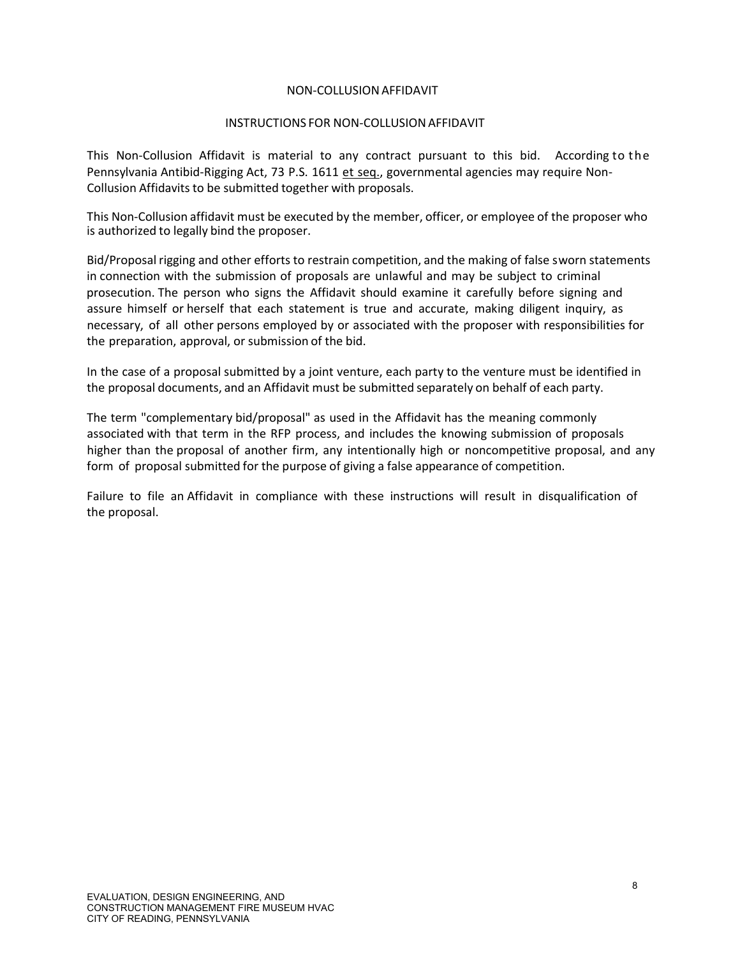## NON-COLLUSIONAFFIDAVIT

## INSTRUCTIONS FOR NON-COLLUSIONAFFIDAVIT

This Non-Collusion Affidavit is material to any contract pursuant to this bid. According to the Pennsylvania Antibid-Rigging Act, 73 P.S. 1611 et seq., governmental agencies may require Non-Collusion Affidavits to be submitted together with proposals.

This Non-Collusion affidavit must be executed by the member, officer, or employee of the proposer who is authorized to legally bind the proposer.

Bid/Proposal rigging and other efforts to restrain competition, and the making of false sworn statements in connection with the submission of proposals are unlawful and may be subject to criminal prosecution. The person who signs the Affidavit should examine it carefully before signing and assure himself or herself that each statement is true and accurate, making diligent inquiry, as necessary, of all other persons employed by or associated with the proposer with responsibilities for the preparation, approval, or submission of the bid.

In the case of a proposal submitted by a joint venture, each party to the venture must be identified in the proposal documents, and an Affidavit must be submitted separately on behalf of each party.

The term "complementary bid/proposal" as used in the Affidavit has the meaning commonly associated with that term in the RFP process, and includes the knowing submission of proposals higher than the proposal of another firm, any intentionally high or noncompetitive proposal, and any form of proposal submitted for the purpose of giving a false appearance of competition.

Failure to file an Affidavit in compliance with these instructions will result in disqualification of the proposal.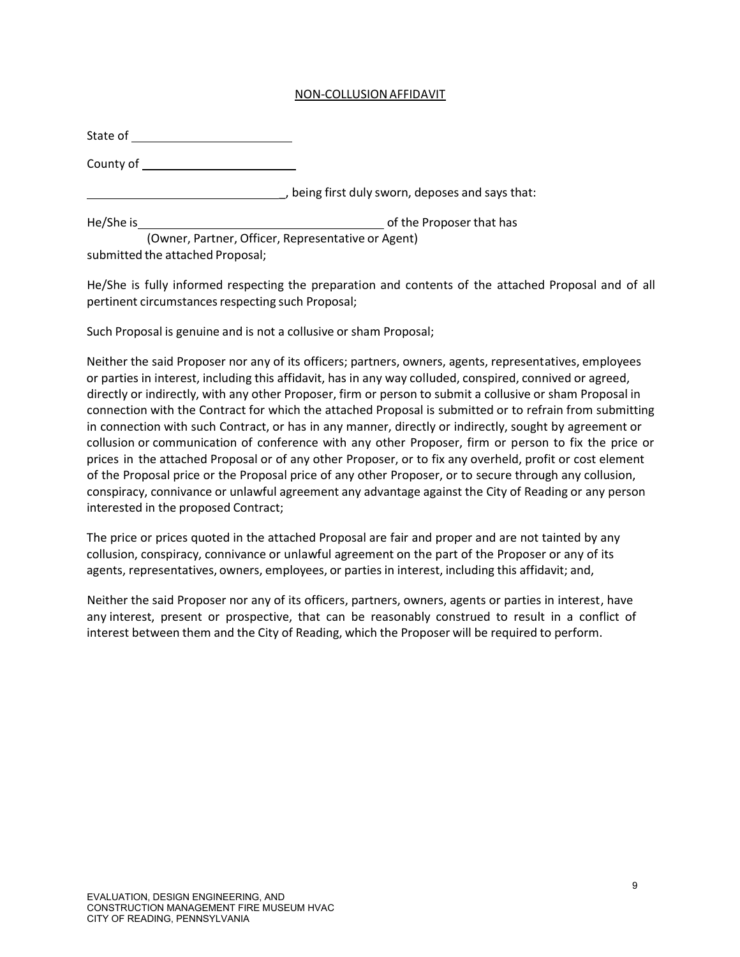## NON-COLLUSIONAFFIDAVIT

| State of  |                                                  |
|-----------|--------------------------------------------------|
| County of |                                                  |
|           | , being first duly sworn, deposes and says that: |
| He/She is | of the Proposer that has                         |

(Owner, Partner, Officer, Representative or Agent) submitted the attached Proposal;

He/She is fully informed respecting the preparation and contents of the attached Proposal and of all pertinent circumstances respecting such Proposal;

Such Proposal is genuine and is not a collusive or sham Proposal;

Neither the said Proposer nor any of its officers; partners, owners, agents, representatives, employees or parties in interest, including this affidavit, has in any way colluded, conspired, connived or agreed, directly or indirectly, with any other Proposer, firm or person to submit a collusive or sham Proposal in connection with the Contract for which the attached Proposal is submitted or to refrain from submitting in connection with such Contract, or has in any manner, directly or indirectly, sought by agreement or collusion or communication of conference with any other Proposer, firm or person to fix the price or prices in the attached Proposal or of any other Proposer, or to fix any overheld, profit or cost element of the Proposal price or the Proposal price of any other Proposer, or to secure through any collusion, conspiracy, connivance or unlawful agreement any advantage against the City of Reading or any person interested in the proposed Contract;

The price or prices quoted in the attached Proposal are fair and proper and are not tainted by any collusion, conspiracy, connivance or unlawful agreement on the part of the Proposer or any of its agents, representatives, owners, employees, or parties in interest, including this affidavit; and,

Neither the said Proposer nor any of its officers, partners, owners, agents or parties in interest, have any interest, present or prospective, that can be reasonably construed to result in a conflict of interest between them and the City of Reading, which the Proposer will be required to perform.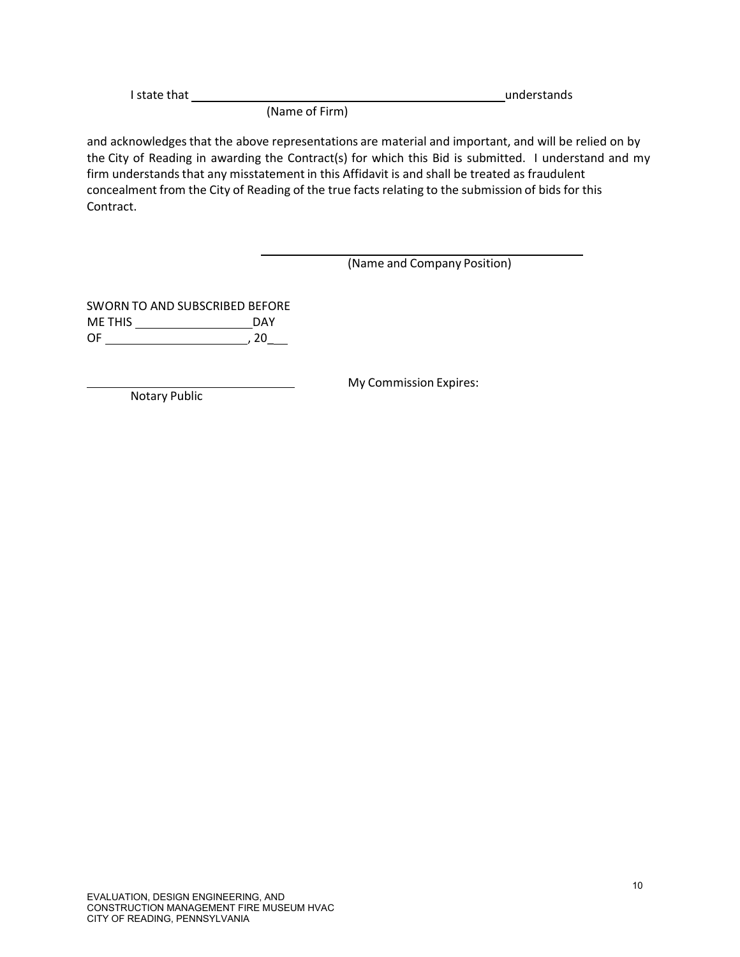| I state that |                        | understands |
|--------------|------------------------|-------------|
|              | $\{M_1, \ldots, M_n\}$ |             |

(Name of Firm)

and acknowledges that the above representations are material and important, and will be relied on by the City of Reading in awarding the Contract(s) for which this Bid is submitted. I understand and my firm understands that any misstatement in this Affidavit is and shall be treated as fraudulent concealment from the City of Reading of the true facts relating to the submission of bids for this Contract.

# (Name and Company Position)

SWORN TO AND SUBSCRIBED BEFORE ME THIS DAY OF , 20\_

My Commission Expires:

Notary Public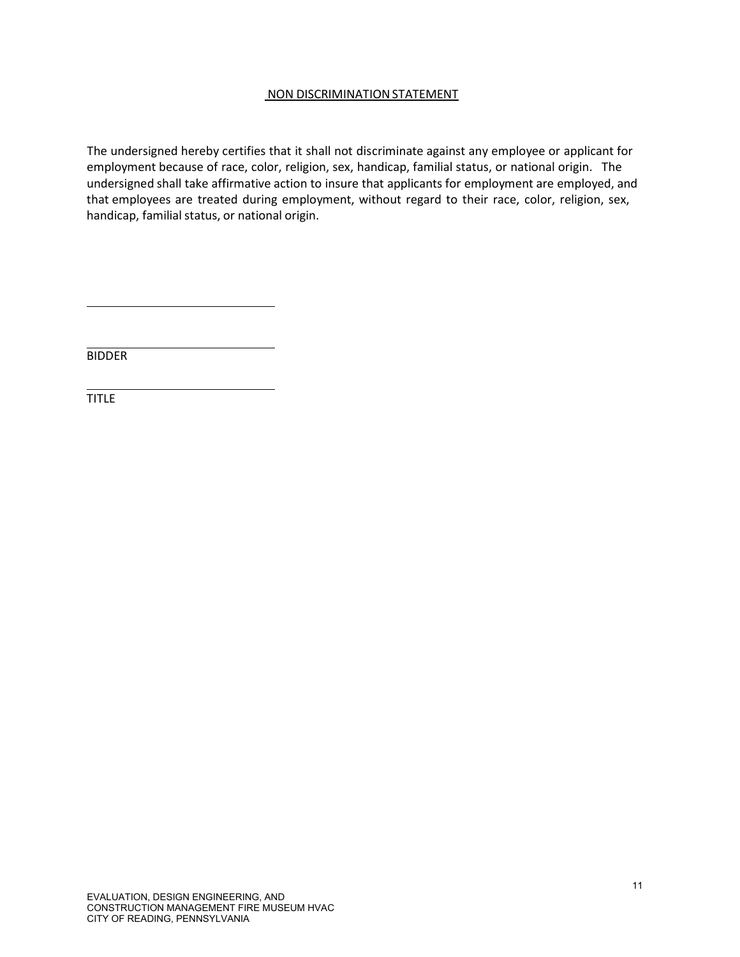# NON DISCRIMINATION STATEMENT

The undersigned hereby certifies that it shall not discriminate against any employee or applicant for employment because of race, color, religion, sex, handicap, familial status, or national origin. The undersigned shall take affirmative action to insure that applicants for employment are employed, and that employees are treated during employment, without regard to their race, color, religion, sex, handicap, familial status, or national origin.

**BIDDER** 

**TITLE**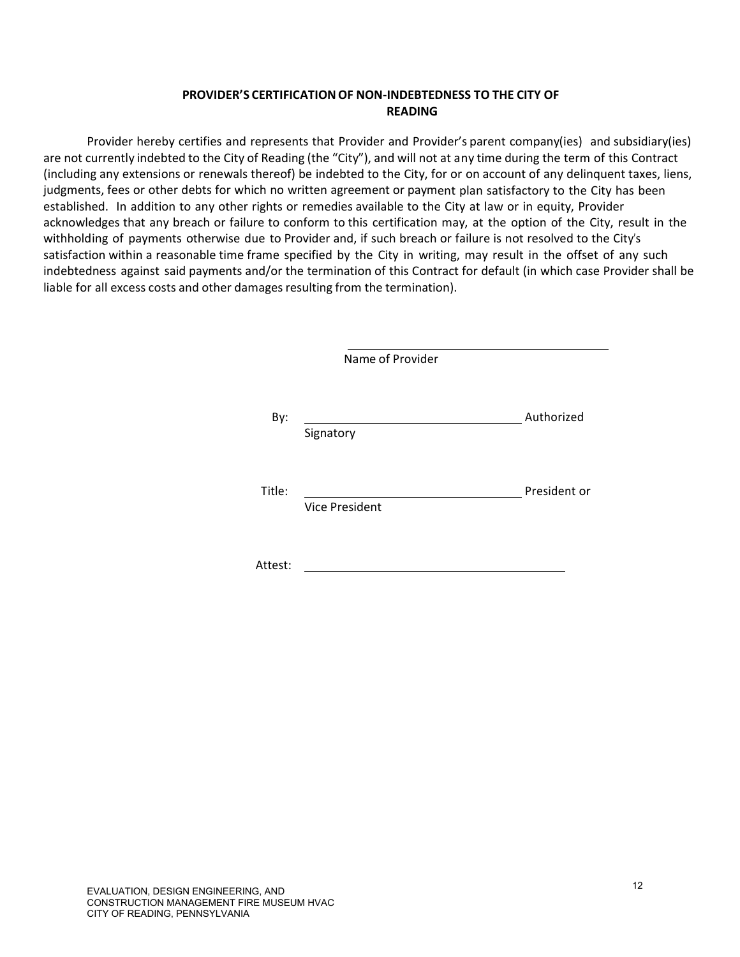# **PROVIDER'S CERTIFICATIONOF NON-INDEBTEDNESS TO THE CITY OF READING**

Provider hereby certifies and represents that Provider and Provider's parent company(ies) and subsidiary(ies) are not currently indebted to the City of Reading (the "City"), and will not at any time during the term of this Contract (including any extensions or renewals thereof) be indebted to the City, for or on account of any delinquent taxes, liens, judgments, fees or other debts for which no written agreement or payment plan satisfactory to the City has been established. In addition to any other rights or remedies available to the City at law or in equity, Provider acknowledges that any breach or failure to conform to this certification may, at the option of the City, result in the withholding of payments otherwise due to Provider and, if such breach or failure is not resolved to the City's satisfaction within a reasonable time frame specified by the City in writing, may result in the offset of any such indebtedness against said payments and/or the termination of this Contract for default (in which case Provider shall be liable for all excess costs and other damages resulting from the termination).

|         | Name of Provider      |              |
|---------|-----------------------|--------------|
| By:     | Signatory             | Authorized   |
| Title:  | <b>Vice President</b> | President or |
| Attest: |                       |              |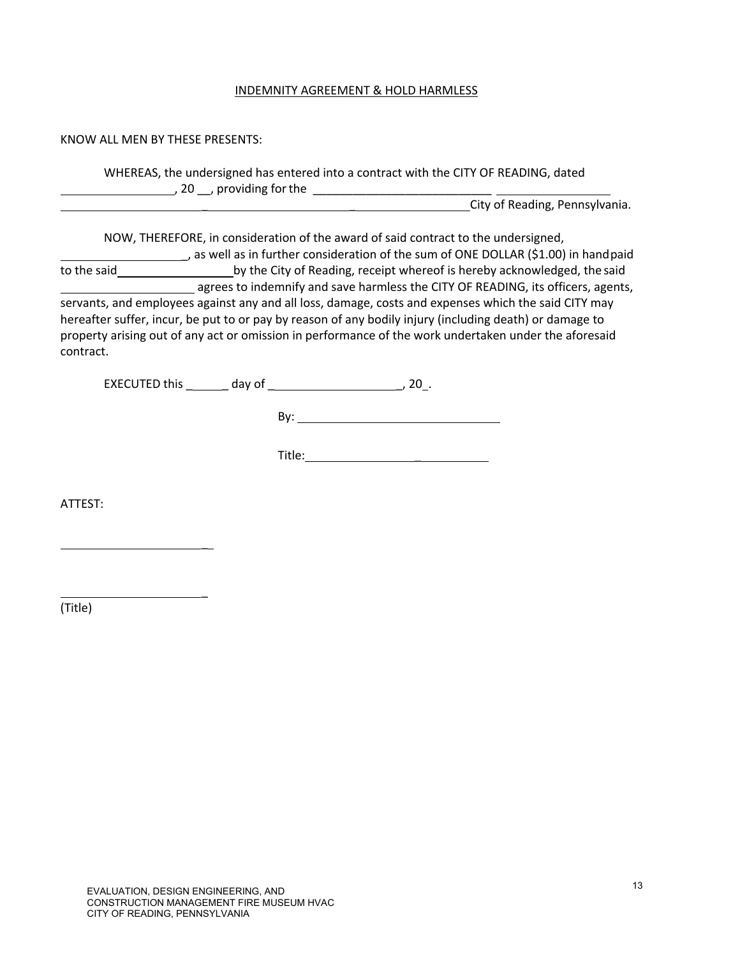### INDEMNITY AGREEMENT & HOLD HARMLESS

### KNOW ALL MEN BY THESE PRESENTS:

| WHEREAS, the undersigned has entered into a contract with the CITY OF READING, dated |  |
|--------------------------------------------------------------------------------------|--|
| , 20, providing for the                                                              |  |

City of Reading, Pennsylvania.

NOW, THEREFORE, in consideration of the award of said contract to the undersigned, \_, as well as in further consideration of the sum of ONE DOLLAR (\$1.00) in handpaid to the said by the City of Reading, receipt whereof is hereby acknowledged, the said

agrees to indemnify and save harmless the CITY OF READING, its officers, agents, servants, and employees against any and all loss, damage, costs and expenses which the said CITY may hereafter suffer, incur, be put to or pay by reason of any bodily injury (including death) or damage to property arising out of any act or omission in performance of the work undertaken under the aforesaid contract.

EXECUTED this \_ \_ day of \_ \_, 20 .

By:

Title: \_

ATTEST:

(Title)

\_

 $\overline{a}$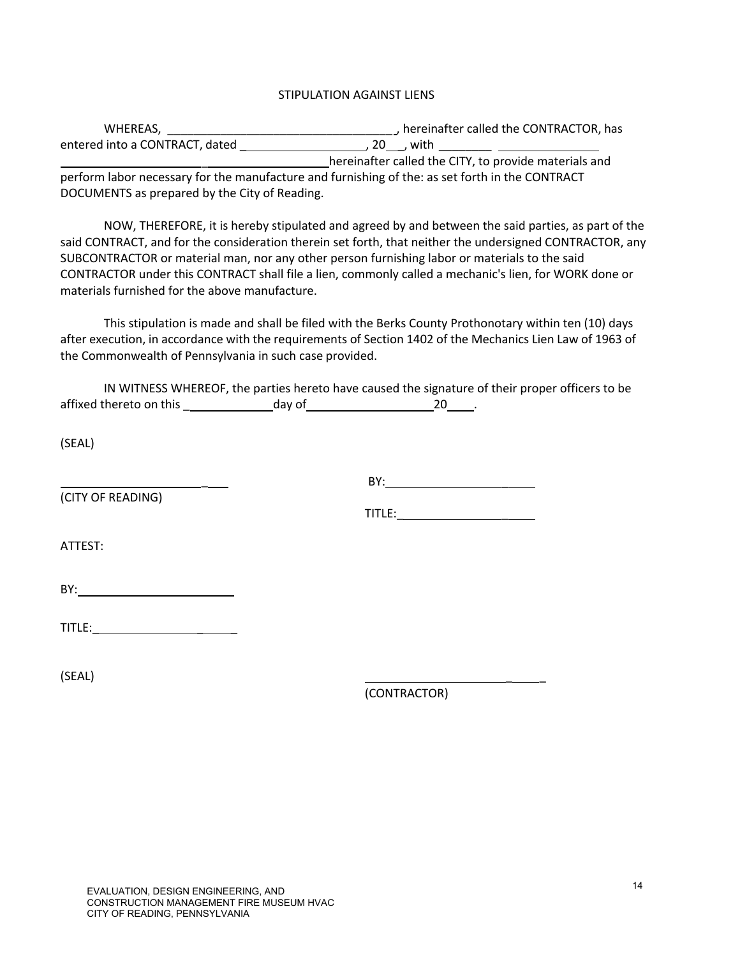## STIPULATION AGAINST LIENS

| WHEREAS,                                      | , hereinafter called the CONTRACTOR, has                                                        |
|-----------------------------------------------|-------------------------------------------------------------------------------------------------|
| entered into a CONTRACT, dated                | , 20 , with                                                                                     |
|                                               | hereinafter called the CITY, to provide materials and                                           |
|                                               | perform labor necessary for the manufacture and furnishing of the: as set forth in the CONTRACT |
| DOCUMENTS as prepared by the City of Reading. |                                                                                                 |

NOW, THEREFORE, it is hereby stipulated and agreed by and between the said parties, as part of the said CONTRACT, and for the consideration therein set forth, that neither the undersigned CONTRACTOR, any SUBCONTRACTOR or material man, nor any other person furnishing labor or materials to the said CONTRACTOR under this CONTRACT shall file a lien, commonly called a mechanic's lien, for WORK done or materials furnished for the above manufacture.

This stipulation is made and shall be filed with the Berks County Prothonotary within ten (10) days after execution, in accordance with the requirements of Section 1402 of the Mechanics Lien Law of 1963 of the Commonwealth of Pennsylvania in such case provided.

|                         |        | IN WITNESS WHEREOF, the parties hereto have caused the signature of their proper officers to be |  |
|-------------------------|--------|-------------------------------------------------------------------------------------------------|--|
| affixed thereto on this | dav of |                                                                                                 |  |
|                         |        |                                                                                                 |  |
| (SEAL)                  |        |                                                                                                 |  |

(CITY OF READING)

BY: \_

TITLE: **All the second second second second** 

ATTEST:

| $RY^{\cdot}$<br>D<br>. . |  |
|--------------------------|--|
|                          |  |

\_

| title: |  |  |
|--------|--|--|
|        |  |  |

(SEAL) \_ \_

(CONTRACTOR)